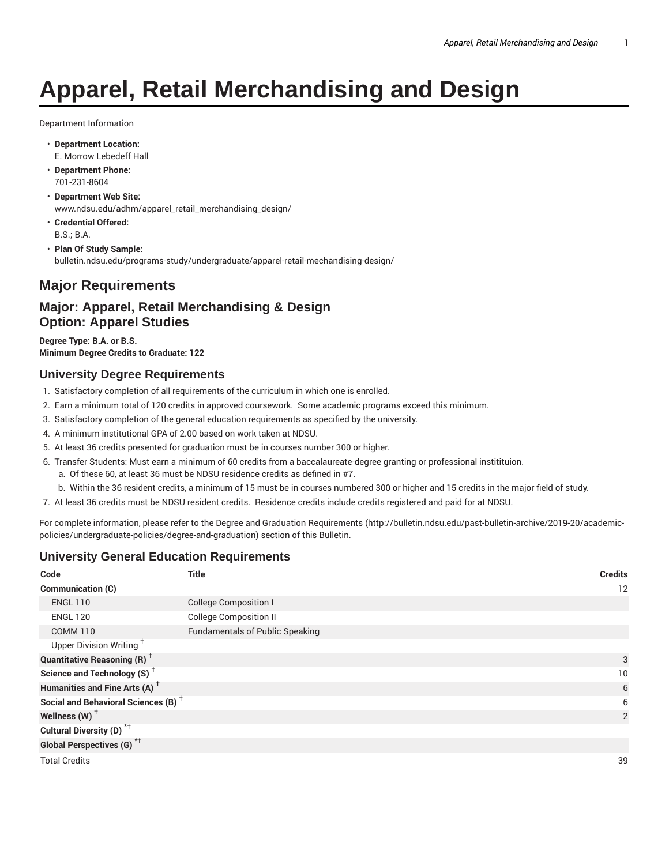# **Apparel, Retail Merchandising and Design**

Department Information

- **Department Location:** E. Morrow Lebedeff Hall
- **Department Phone:** 701-231-8604
- **Department Web Site:** www.ndsu.edu/adhm/apparel\_retail\_merchandising\_design/
- **Credential Offered:** B.S.; B.A.
- **Plan Of Study Sample:** bulletin.ndsu.edu/programs-study/undergraduate/apparel-retail-mechandising-design/

# **Major Requirements**

# **Major: Apparel, Retail Merchandising & Design Option: Apparel Studies**

**Degree Type: B.A. or B.S. Minimum Degree Credits to Graduate: 122**

#### **University Degree Requirements**

- 1. Satisfactory completion of all requirements of the curriculum in which one is enrolled.
- 2. Earn a minimum total of 120 credits in approved coursework. Some academic programs exceed this minimum.
- 3. Satisfactory completion of the general education requirements as specified by the university.
- 4. A minimum institutional GPA of 2.00 based on work taken at NDSU.
- 5. At least 36 credits presented for graduation must be in courses number 300 or higher.
- 6. Transfer Students: Must earn a minimum of 60 credits from a baccalaureate-degree granting or professional institituion.
	- a. Of these 60, at least 36 must be NDSU residence credits as defined in #7.
	- b. Within the 36 resident credits, a minimum of 15 must be in courses numbered 300 or higher and 15 credits in the major field of study.
- 7. At least 36 credits must be NDSU resident credits. Residence credits include credits registered and paid for at NDSU.

For complete information, please refer to the Degree and Graduation Requirements (http://bulletin.ndsu.edu/past-bulletin-archive/2019-20/academicpolicies/undergraduate-policies/degree-and-graduation) section of this Bulletin.

#### **University General Education Requirements**

| Code                                            | <b>Title</b>                           | <b>Credits</b> |
|-------------------------------------------------|----------------------------------------|----------------|
| Communication (C)                               |                                        | 12             |
| <b>ENGL 110</b>                                 | <b>College Composition I</b>           |                |
| <b>ENGL 120</b>                                 | <b>College Composition II</b>          |                |
| <b>COMM 110</b>                                 | <b>Fundamentals of Public Speaking</b> |                |
| Upper Division Writing <sup>+</sup>             |                                        |                |
| <b>Quantitative Reasoning (R)</b> <sup>†</sup>  |                                        | 3              |
| Science and Technology (S) <sup>+</sup>         |                                        | 10             |
| Humanities and Fine Arts (A) <sup>+</sup>       |                                        | 6              |
| Social and Behavioral Sciences (B) <sup>+</sup> |                                        | 6              |
| Wellness (W) $^{\dagger}$                       |                                        | 2              |
| Cultural Diversity (D) <sup>*†</sup>            |                                        |                |
| <b>Global Perspectives (G)</b> <sup>*†</sup>    |                                        |                |
| <b>Total Credits</b>                            |                                        | 39             |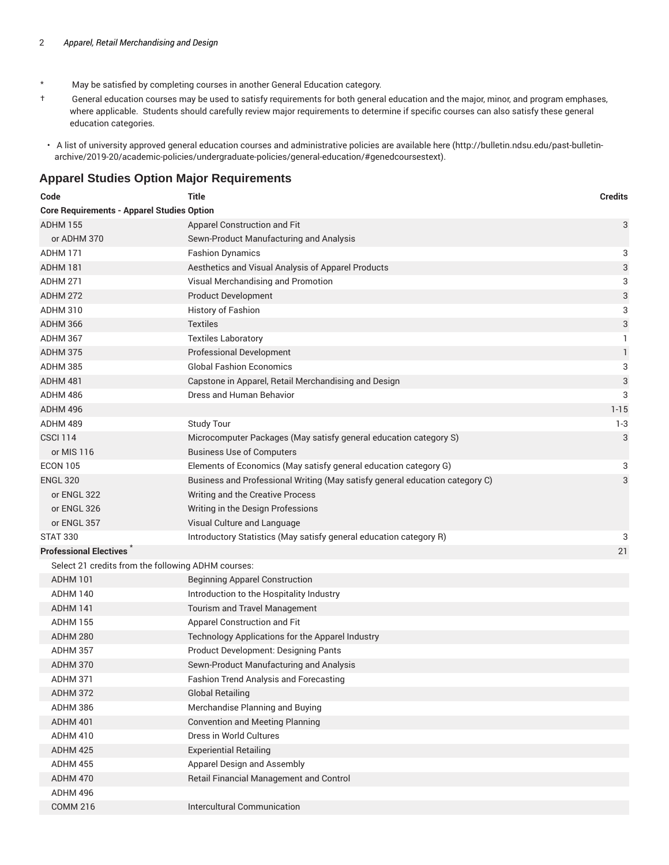- \* May be satisfied by completing courses in another General Education category.
- † General education courses may be used to satisfy requirements for both general education and the major, minor, and program emphases, where applicable. Students should carefully review major requirements to determine if specific courses can also satisfy these general education categories.
- A list of university approved general education courses and administrative policies are available here (http://bulletin.ndsu.edu/past-bulletinarchive/2019-20/academic-policies/undergraduate-policies/general-education/#genedcoursestext).

#### **Apparel Studies Option Major Requirements**

| Code                                               | <b>Title</b>                                                                 | <b>Credits</b>            |
|----------------------------------------------------|------------------------------------------------------------------------------|---------------------------|
| <b>Core Requirements - Apparel Studies Option</b>  |                                                                              |                           |
| <b>ADHM 155</b>                                    | Apparel Construction and Fit                                                 | 3                         |
| or ADHM 370                                        | Sewn-Product Manufacturing and Analysis                                      |                           |
| ADHM 171                                           | <b>Fashion Dynamics</b>                                                      | 3                         |
| ADHM 181                                           | Aesthetics and Visual Analysis of Apparel Products                           | $\ensuremath{\mathsf{3}}$ |
| ADHM 271                                           | Visual Merchandising and Promotion                                           | 3                         |
| <b>ADHM 272</b>                                    | <b>Product Development</b>                                                   | 3                         |
| ADHM 310                                           | History of Fashion                                                           | 3                         |
| ADHM 366                                           | <b>Textiles</b>                                                              | 3                         |
| <b>ADHM 367</b>                                    | <b>Textiles Laboratory</b>                                                   | 1                         |
| ADHM 375                                           | <b>Professional Development</b>                                              | 1                         |
| ADHM 385                                           | <b>Global Fashion Economics</b>                                              | 3                         |
| ADHM 481                                           | Capstone in Apparel, Retail Merchandising and Design                         | 3                         |
| ADHM 486                                           | Dress and Human Behavior                                                     | 3                         |
| ADHM 496                                           |                                                                              | $1 - 15$                  |
| ADHM 489                                           | <b>Study Tour</b>                                                            | $1 - 3$                   |
| <b>CSCI 114</b>                                    | Microcomputer Packages (May satisfy general education category S)            | 3                         |
| or MIS 116                                         | <b>Business Use of Computers</b>                                             |                           |
| <b>ECON 105</b>                                    | Elements of Economics (May satisfy general education category G)             | 3                         |
| <b>ENGL 320</b>                                    | Business and Professional Writing (May satisfy general education category C) | 3                         |
| or ENGL 322                                        | Writing and the Creative Process                                             |                           |
| or ENGL 326                                        | Writing in the Design Professions                                            |                           |
| or ENGL 357                                        | Visual Culture and Language                                                  |                           |
| <b>STAT 330</b>                                    | Introductory Statistics (May satisfy general education category R)           | 3                         |
| <b>Professional Electives</b>                      |                                                                              | 21                        |
| Select 21 credits from the following ADHM courses: |                                                                              |                           |
| ADHM 101                                           | <b>Beginning Apparel Construction</b>                                        |                           |
| ADHM 140                                           | Introduction to the Hospitality Industry                                     |                           |
| ADHM 141                                           | Tourism and Travel Management                                                |                           |
| <b>ADHM 155</b>                                    | Apparel Construction and Fit                                                 |                           |
| ADHM 280                                           | Technology Applications for the Apparel Industry                             |                           |
| ADHM 357                                           | Product Development: Designing Pants                                         |                           |
| ADHM 370                                           | Sewn-Product Manufacturing and Analysis                                      |                           |
| ADHM 371                                           | Fashion Trend Analysis and Forecasting                                       |                           |
| <b>ADHM 372</b>                                    | <b>Global Retailing</b>                                                      |                           |
| ADHM 386                                           | Merchandise Planning and Buying                                              |                           |
| <b>ADHM 401</b>                                    | <b>Convention and Meeting Planning</b>                                       |                           |
| ADHM 410                                           | Dress in World Cultures                                                      |                           |
| <b>ADHM 425</b>                                    | <b>Experiential Retailing</b>                                                |                           |
| <b>ADHM 455</b>                                    | Apparel Design and Assembly                                                  |                           |
| ADHM 470                                           | Retail Financial Management and Control                                      |                           |
| ADHM 496                                           |                                                                              |                           |
| <b>COMM 216</b>                                    | Intercultural Communication                                                  |                           |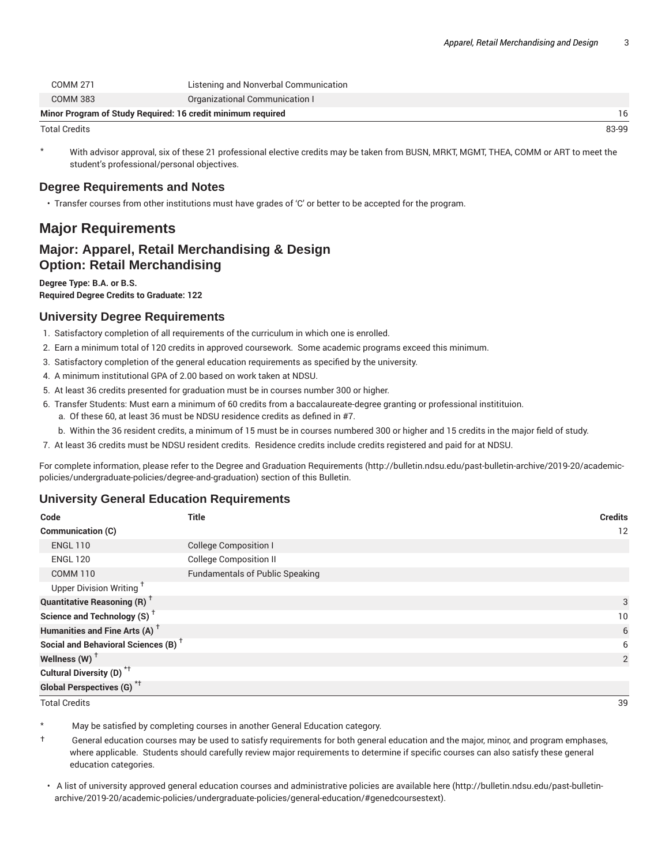| Minor Program of Study Reguired: 16 credit minimum reguired |                                       |  |
|-------------------------------------------------------------|---------------------------------------|--|
| <b>COMM 383</b>                                             | Organizational Communication I        |  |
| COMM 271                                                    | Listening and Nonverbal Communication |  |

Total Credits 83-99

With advisor approval, six of these 21 professional elective credits may be taken from BUSN, MRKT, MGMT, THEA, COMM or ART to meet the student's professional/personal objectives.

#### **Degree Requirements and Notes**

• Transfer courses from other institutions must have grades of 'C' or better to be accepted for the program.

# **Major Requirements**

## **Major: Apparel, Retail Merchandising & Design Option: Retail Merchandising**

**Degree Type: B.A. or B.S. Required Degree Credits to Graduate: 122**

#### **University Degree Requirements**

- 1. Satisfactory completion of all requirements of the curriculum in which one is enrolled.
- 2. Earn a minimum total of 120 credits in approved coursework. Some academic programs exceed this minimum.
- 3. Satisfactory completion of the general education requirements as specified by the university.
- 4. A minimum institutional GPA of 2.00 based on work taken at NDSU.
- 5. At least 36 credits presented for graduation must be in courses number 300 or higher.
- 6. Transfer Students: Must earn a minimum of 60 credits from a baccalaureate-degree granting or professional institituion.
	- a. Of these 60, at least 36 must be NDSU residence credits as defined in #7.
	- b. Within the 36 resident credits, a minimum of 15 must be in courses numbered 300 or higher and 15 credits in the major field of study.

7. At least 36 credits must be NDSU resident credits. Residence credits include credits registered and paid for at NDSU.

For complete information, please refer to the Degree and Graduation Requirements (http://bulletin.ndsu.edu/past-bulletin-archive/2019-20/academicpolicies/undergraduate-policies/degree-and-graduation) section of this Bulletin.

#### **University General Education Requirements**

| Code                                            | <b>Title</b>                           | <b>Credits</b> |
|-------------------------------------------------|----------------------------------------|----------------|
| Communication (C)                               |                                        | 12             |
| <b>ENGL 110</b>                                 | <b>College Composition I</b>           |                |
| <b>ENGL 120</b>                                 | <b>College Composition II</b>          |                |
| <b>COMM 110</b>                                 | <b>Fundamentals of Public Speaking</b> |                |
| Upper Division Writing <sup>†</sup>             |                                        |                |
| <b>Quantitative Reasoning (R)</b> <sup>†</sup>  |                                        | 3              |
| Science and Technology (S) <sup>+</sup>         |                                        | 10             |
| Humanities and Fine Arts (A) <sup>+</sup>       |                                        | 6              |
| Social and Behavioral Sciences (B) <sup>+</sup> |                                        | 6              |
| Wellness $(W)$ <sup>+</sup>                     |                                        | 2              |
| Cultural Diversity (D) <sup>*†</sup>            |                                        |                |
| Global Perspectives (G) <sup>*†</sup>           |                                        |                |

Total Credits 39

May be satisfied by completing courses in another General Education category.

† General education courses may be used to satisfy requirements for both general education and the major, minor, and program emphases, where applicable. Students should carefully review major requirements to determine if specific courses can also satisfy these general education categories.

• A list of university approved general education courses and administrative policies are available here (http://bulletin.ndsu.edu/past-bulletinarchive/2019-20/academic-policies/undergraduate-policies/general-education/#genedcoursestext).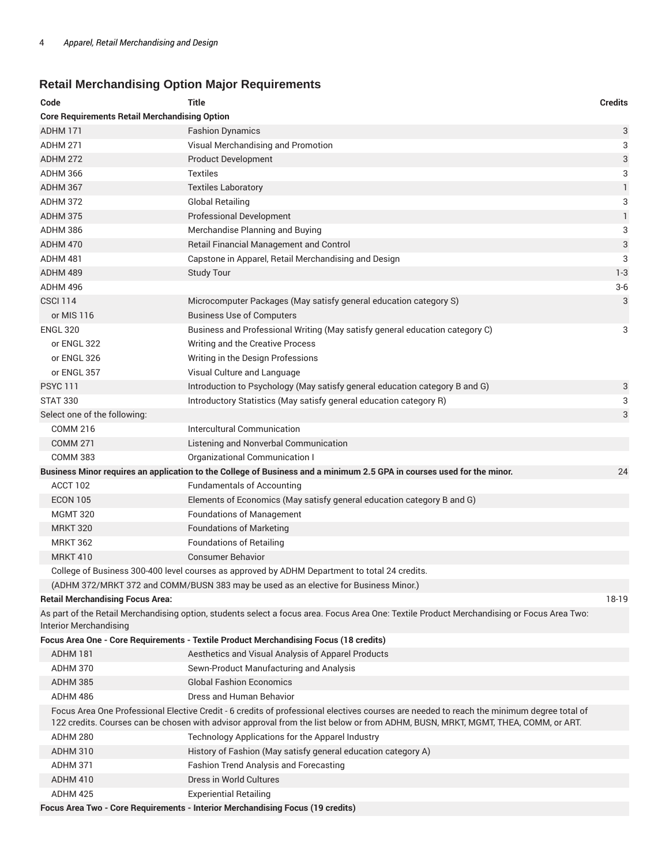# **Retail Merchandising Option Major Requirements**

| Code                                                 | <b>Title</b>                                                                                                                                                                                                                                                                  | <b>Credits</b> |
|------------------------------------------------------|-------------------------------------------------------------------------------------------------------------------------------------------------------------------------------------------------------------------------------------------------------------------------------|----------------|
| <b>Core Requirements Retail Merchandising Option</b> |                                                                                                                                                                                                                                                                               |                |
| ADHM 171                                             | <b>Fashion Dynamics</b>                                                                                                                                                                                                                                                       | 3              |
| ADHM 271                                             | Visual Merchandising and Promotion                                                                                                                                                                                                                                            | 3              |
| <b>ADHM 272</b>                                      | <b>Product Development</b>                                                                                                                                                                                                                                                    | 3              |
| ADHM 366                                             | <b>Textiles</b>                                                                                                                                                                                                                                                               | 3              |
| ADHM 367                                             | <b>Textiles Laboratory</b>                                                                                                                                                                                                                                                    | $\mathbf{1}$   |
| <b>ADHM 372</b>                                      | <b>Global Retailing</b>                                                                                                                                                                                                                                                       | 3              |
| <b>ADHM 375</b>                                      | <b>Professional Development</b>                                                                                                                                                                                                                                               | 1              |
| ADHM 386                                             | Merchandise Planning and Buying                                                                                                                                                                                                                                               | 3              |
| ADHM 470                                             | Retail Financial Management and Control                                                                                                                                                                                                                                       | 3              |
| ADHM 481                                             | Capstone in Apparel, Retail Merchandising and Design                                                                                                                                                                                                                          | 3              |
| ADHM 489                                             | <b>Study Tour</b>                                                                                                                                                                                                                                                             | $1 - 3$        |
| ADHM 496                                             |                                                                                                                                                                                                                                                                               | $3-6$          |
| <b>CSCI 114</b>                                      | Microcomputer Packages (May satisfy general education category S)                                                                                                                                                                                                             | 3              |
| or MIS 116                                           | <b>Business Use of Computers</b>                                                                                                                                                                                                                                              |                |
| <b>ENGL 320</b>                                      | Business and Professional Writing (May satisfy general education category C)                                                                                                                                                                                                  | 3              |
| or ENGL 322                                          | Writing and the Creative Process                                                                                                                                                                                                                                              |                |
| or ENGL 326                                          | Writing in the Design Professions                                                                                                                                                                                                                                             |                |
| or ENGL 357                                          | Visual Culture and Language                                                                                                                                                                                                                                                   |                |
| <b>PSYC 111</b>                                      | Introduction to Psychology (May satisfy general education category B and G)                                                                                                                                                                                                   | 3              |
| <b>STAT 330</b>                                      | Introductory Statistics (May satisfy general education category R)                                                                                                                                                                                                            | 3              |
| Select one of the following:                         |                                                                                                                                                                                                                                                                               | 3              |
| <b>COMM 216</b>                                      | Intercultural Communication                                                                                                                                                                                                                                                   |                |
| <b>COMM 271</b>                                      | Listening and Nonverbal Communication                                                                                                                                                                                                                                         |                |
| <b>COMM 383</b>                                      | Organizational Communication I                                                                                                                                                                                                                                                |                |
|                                                      | Business Minor requires an application to the College of Business and a minimum 2.5 GPA in courses used for the minor.                                                                                                                                                        | 24             |
| ACCT 102                                             | <b>Fundamentals of Accounting</b>                                                                                                                                                                                                                                             |                |
| <b>ECON 105</b>                                      | Elements of Economics (May satisfy general education category B and G)                                                                                                                                                                                                        |                |
| <b>MGMT 320</b>                                      | <b>Foundations of Management</b>                                                                                                                                                                                                                                              |                |
| <b>MRKT 320</b>                                      | <b>Foundations of Marketing</b>                                                                                                                                                                                                                                               |                |
| <b>MRKT 362</b>                                      | <b>Foundations of Retailing</b>                                                                                                                                                                                                                                               |                |
| <b>MRKT 410</b>                                      | <b>Consumer Behavior</b>                                                                                                                                                                                                                                                      |                |
|                                                      | College of Business 300-400 level courses as approved by ADHM Department to total 24 credits.                                                                                                                                                                                 |                |
|                                                      | (ADHM 372/MRKT 372 and COMM/BUSN 383 may be used as an elective for Business Minor.)                                                                                                                                                                                          |                |
| <b>Retail Merchandising Focus Area:</b>              |                                                                                                                                                                                                                                                                               | 18-19          |
| <b>Interior Merchandising</b>                        | As part of the Retail Merchandising option, students select a focus area. Focus Area One: Textile Product Merchandising or Focus Area Two:                                                                                                                                    |                |
|                                                      | Focus Area One - Core Requirements - Textile Product Merchandising Focus (18 credits)                                                                                                                                                                                         |                |
| ADHM 181                                             | Aesthetics and Visual Analysis of Apparel Products                                                                                                                                                                                                                            |                |
| ADHM 370                                             | Sewn-Product Manufacturing and Analysis                                                                                                                                                                                                                                       |                |
| ADHM 385                                             | <b>Global Fashion Economics</b>                                                                                                                                                                                                                                               |                |
| ADHM 486                                             | Dress and Human Behavior                                                                                                                                                                                                                                                      |                |
|                                                      | Focus Area One Professional Elective Credit - 6 credits of professional electives courses are needed to reach the minimum degree total of<br>122 credits. Courses can be chosen with advisor approval from the list below or from ADHM, BUSN, MRKT, MGMT, THEA, COMM, or ART. |                |
| ADHM 280                                             | Technology Applications for the Apparel Industry                                                                                                                                                                                                                              |                |
| ADHM 310                                             | History of Fashion (May satisfy general education category A)                                                                                                                                                                                                                 |                |
| ADHM 371                                             | <b>Fashion Trend Analysis and Forecasting</b>                                                                                                                                                                                                                                 |                |
| ADHM 410                                             | Dress in World Cultures                                                                                                                                                                                                                                                       |                |
| ADHM 425                                             | <b>Experiential Retailing</b>                                                                                                                                                                                                                                                 |                |
|                                                      | Focus Area Two - Core Requirements - Interior Merchandising Focus (19 credits)                                                                                                                                                                                                |                |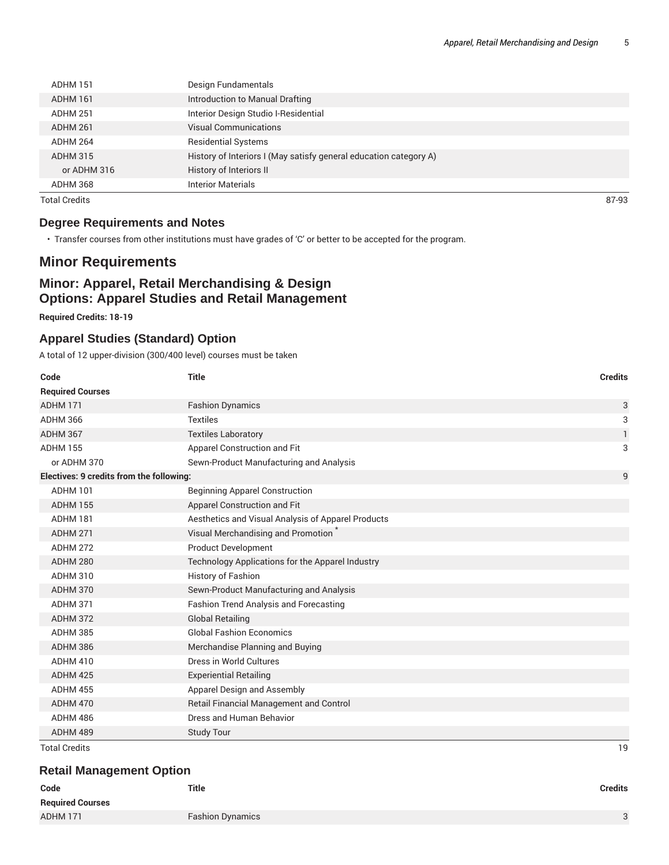| ADHM 151        | Design Fundamentals                                               |
|-----------------|-------------------------------------------------------------------|
| ADHM 161        | Introduction to Manual Drafting                                   |
| ADHM 251        | Interior Design Studio I-Residential                              |
| ADHM 261        | <b>Visual Communications</b>                                      |
| ADHM 264        | <b>Residential Systems</b>                                        |
| <b>ADHM 315</b> | History of Interiors I (May satisfy general education category A) |
| or ADHM 316     | History of Interiors II                                           |
| ADHM 368        | <b>Interior Materials</b>                                         |

Total Credits 87-93

#### **Degree Requirements and Notes**

• Transfer courses from other institutions must have grades of 'C' or better to be accepted for the program.

# **Minor Requirements**

## **Minor: Apparel, Retail Merchandising & Design Options: Apparel Studies and Retail Management**

**Required Credits: 18-19**

#### **Apparel Studies (Standard) Option**

A total of 12 upper-division (300/400 level) courses must be taken

| Code                                     | <b>Title</b>                                       | <b>Credits</b> |
|------------------------------------------|----------------------------------------------------|----------------|
| <b>Required Courses</b>                  |                                                    |                |
| <b>ADHM 171</b>                          | <b>Fashion Dynamics</b>                            | 3              |
| <b>ADHM 366</b>                          | <b>Textiles</b>                                    | 3              |
| ADHM 367                                 | <b>Textiles Laboratory</b>                         | $\mathbf{1}$   |
| <b>ADHM 155</b>                          | Apparel Construction and Fit                       | 3              |
| or ADHM 370                              | Sewn-Product Manufacturing and Analysis            |                |
| Electives: 9 credits from the following: |                                                    | 9              |
| <b>ADHM 101</b>                          | <b>Beginning Apparel Construction</b>              |                |
| <b>ADHM 155</b>                          | Apparel Construction and Fit                       |                |
| <b>ADHM 181</b>                          | Aesthetics and Visual Analysis of Apparel Products |                |
| <b>ADHM 271</b>                          | Visual Merchandising and Promotion                 |                |
| <b>ADHM 272</b>                          | <b>Product Development</b>                         |                |
| <b>ADHM 280</b>                          | Technology Applications for the Apparel Industry   |                |
| <b>ADHM 310</b>                          | <b>History of Fashion</b>                          |                |
| ADHM 370                                 | Sewn-Product Manufacturing and Analysis            |                |
| <b>ADHM 371</b>                          | Fashion Trend Analysis and Forecasting             |                |
| ADHM 372                                 | <b>Global Retailing</b>                            |                |
| <b>ADHM 385</b>                          | <b>Global Fashion Economics</b>                    |                |
| ADHM 386                                 | Merchandise Planning and Buying                    |                |
| ADHM 410                                 | Dress in World Cultures                            |                |
| ADHM 425                                 | <b>Experiential Retailing</b>                      |                |
| <b>ADHM 455</b>                          | Apparel Design and Assembly                        |                |
| <b>ADHM 470</b>                          | <b>Retail Financial Management and Control</b>     |                |
| ADHM 486                                 | Dress and Human Behavior                           |                |
| ADHM 489                                 | <b>Study Tour</b>                                  |                |
| <b>Total Credits</b>                     |                                                    | 19             |

#### **Retail Management Option**

| Code                    | <b>Title</b>            | <b>Credits</b> |
|-------------------------|-------------------------|----------------|
| <b>Required Courses</b> |                         |                |
| ADHM 171                | <b>Fashion Dynamics</b> | $\circ$        |